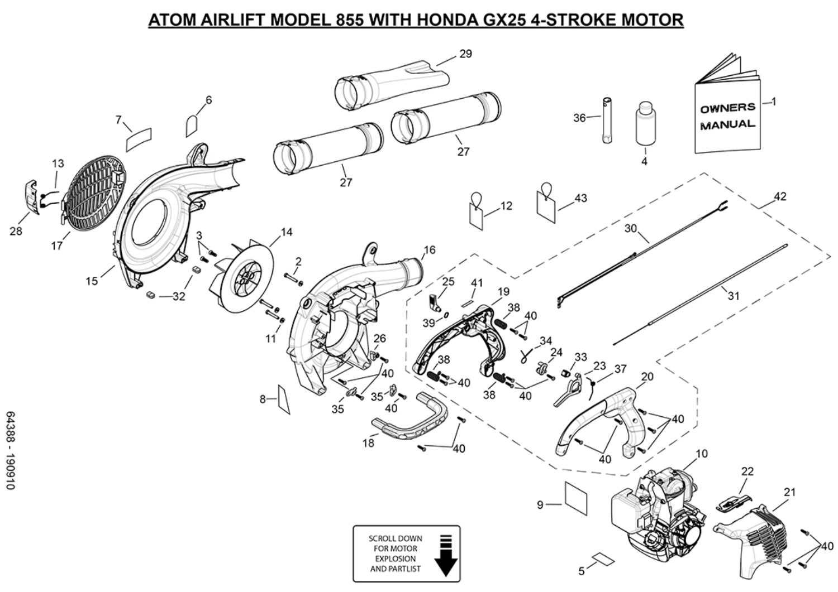## **ATOM AIRLIFT MODEL 855 WITH HONDA GX25 4-STROKE MOTOR**